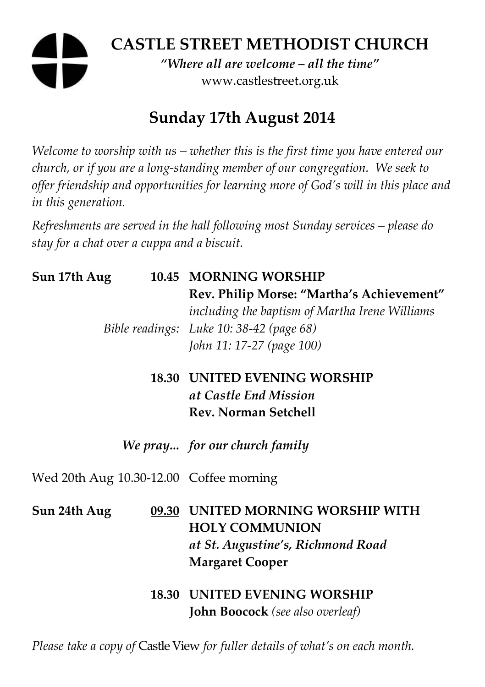# **CASTLE STREET METHODIST CHURCH**

*"Where all are welcome – all the time"*  www.castlestreet.org.uk

# **Sunday 17th August 2014**

*Welcome to worship with us – whether this is the first time you have entered our church, or if you are a long-standing member of our congregation. We seek to offer friendship and opportunities for learning more of God's will in this place and in this generation.* 

*Refreshments are served in the hall following most Sunday services – please do stay for a chat over a cuppa and a biscuit.* 

| Sun 17th Aug                            | 10.45 MORNING WORSHIP<br>Rev. Philip Morse: "Martha's Achievement"<br>including the baptism of Martha Irene Williams<br>Bible readings: Luke 10: 38-42 (page 68)<br>John 11: 17-27 (page 100) |
|-----------------------------------------|-----------------------------------------------------------------------------------------------------------------------------------------------------------------------------------------------|
|                                         | <b>18.30 UNITED EVENING WORSHIP</b><br>at Castle End Mission<br><b>Rev. Norman Setchell</b>                                                                                                   |
|                                         | We pray for our church family                                                                                                                                                                 |
| Wed 20th Aug 10.30-12.00 Coffee morning |                                                                                                                                                                                               |
| Sun 24th Aug                            | 09.30 UNITED MORNING WORSHIP WITH<br><b>HOLY COMMUNION</b><br>at St. Augustine's, Richmond Road<br><b>Margaret Cooper</b>                                                                     |
|                                         | <b>18.30 UNITED EVENING WORSHIP</b><br><b>John Boocock</b> (see also overleaf)                                                                                                                |

*Please take a copy of* Castle View *for fuller details of what's on each month.*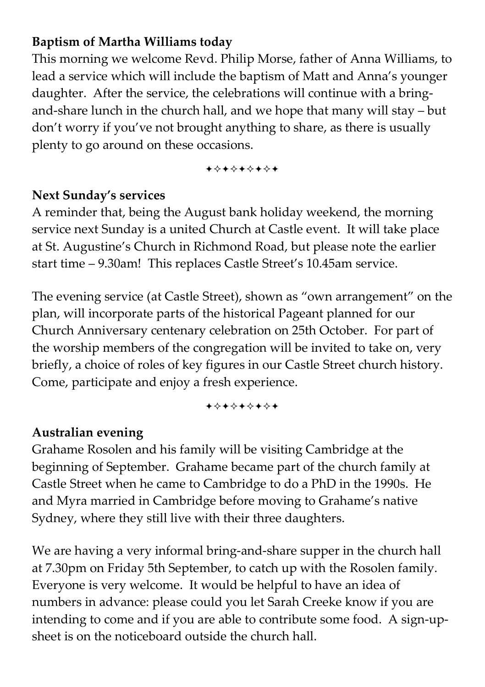# **Baptism of Martha Williams today**

This morning we welcome Revd. Philip Morse, father of Anna Williams, to lead a service which will include the baptism of Matt and Anna's younger daughter. After the service, the celebrations will continue with a bringand-share lunch in the church hall, and we hope that many will stay – but don't worry if you've not brought anything to share, as there is usually plenty to go around on these occasions.

+\*\*\*\*\*\*\*

### **Next Sunday's services**

A reminder that, being the August bank holiday weekend, the morning service next Sunday is a united Church at Castle event. It will take place at St. Augustine's Church in Richmond Road, but please note the earlier start time – 9.30am! This replaces Castle Street's 10.45am service.

The evening service (at Castle Street), shown as "own arrangement" on the plan, will incorporate parts of the historical Pageant planned for our Church Anniversary centenary celebration on 25th October. For part of the worship members of the congregation will be invited to take on, very briefly, a choice of roles of key figures in our Castle Street church history. Come, participate and enjoy a fresh experience.

+\*\*\*\*\*\*\*

# **Australian evening**

Grahame Rosolen and his family will be visiting Cambridge at the beginning of September. Grahame became part of the church family at Castle Street when he came to Cambridge to do a PhD in the 1990s. He and Myra married in Cambridge before moving to Grahame's native Sydney, where they still live with their three daughters.

We are having a very informal bring-and-share supper in the church hall at 7.30pm on Friday 5th September, to catch up with the Rosolen family. Everyone is very welcome. It would be helpful to have an idea of numbers in advance: please could you let Sarah Creeke know if you are intending to come and if you are able to contribute some food. A sign-upsheet is on the noticeboard outside the church hall.